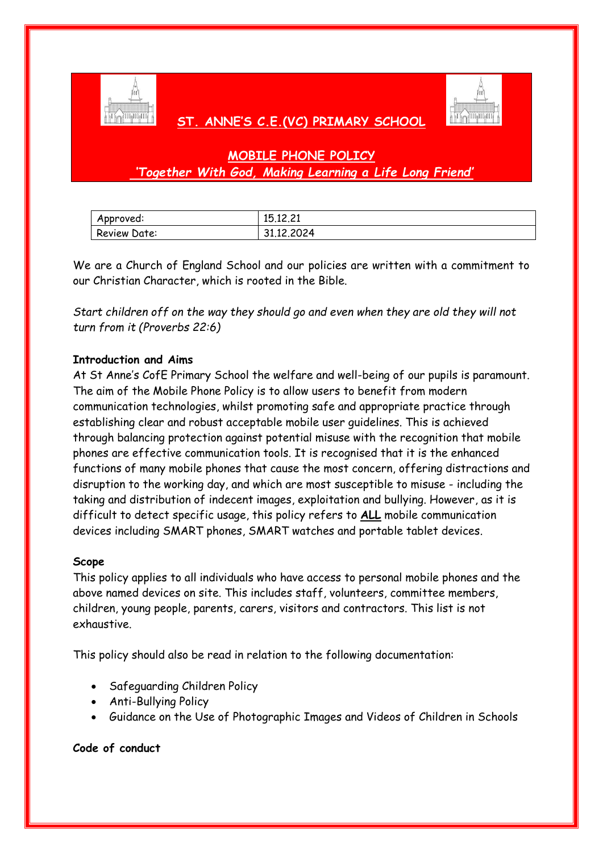

## **ST. ANNE'S C.E.(VC) PRIMARY SCHOOL**



# **MOBILE PHONE POLICY** *'Together With God, Making Learning a Life Long Friend'*

| Approved:    | 15,12,21   |
|--------------|------------|
| Review Date: | 31.12.2024 |

We are a Church of England School and our policies are written with a commitment to our Christian Character, which is rooted in the Bible.

*Start children off on the way they should go and even when they are old they will not turn from it (Proverbs 22:6)*

### **Introduction and Aims**

At St Anne's CofE Primary School the welfare and well-being of our pupils is paramount. The aim of the Mobile Phone Policy is to allow users to benefit from modern communication technologies, whilst promoting safe and appropriate practice through establishing clear and robust acceptable mobile user guidelines. This is achieved through balancing protection against potential misuse with the recognition that mobile phones are effective communication tools. It is recognised that it is the enhanced functions of many mobile phones that cause the most concern, offering distractions and disruption to the working day, and which are most susceptible to misuse - including the taking and distribution of indecent images, exploitation and bullying. However, as it is difficult to detect specific usage, this policy refers to **ALL** mobile communication devices including SMART phones, SMART watches and portable tablet devices.

### **Scope**

This policy applies to all individuals who have access to personal mobile phones and the above named devices on site. This includes staff, volunteers, committee members, children, young people, parents, carers, visitors and contractors. This list is not exhaustive.

This policy should also be read in relation to the following documentation:

- Safeguarding Children Policy
- Anti-Bullying Policy
- Guidance on the Use of Photographic Images and Videos of Children in Schools

#### **Code of conduct**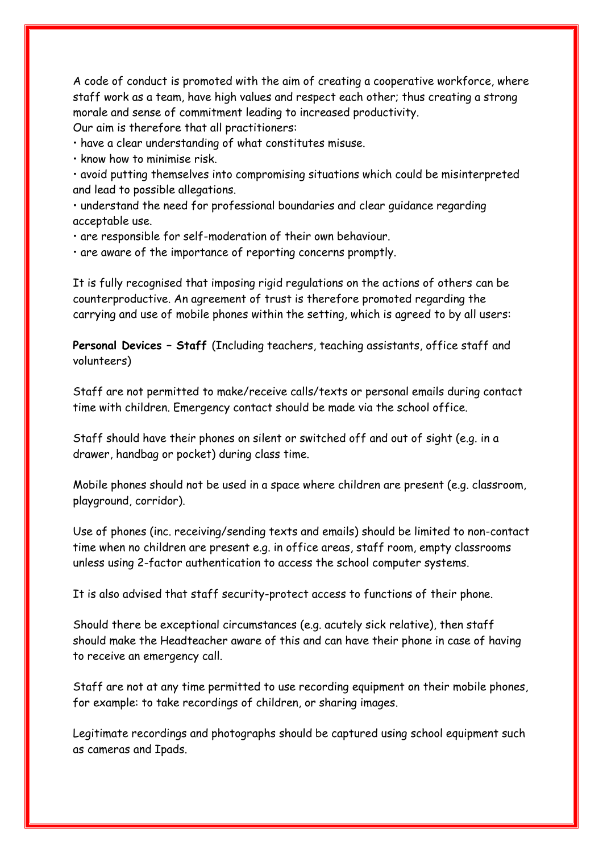A code of conduct is promoted with the aim of creating a cooperative workforce, where staff work as a team, have high values and respect each other; thus creating a strong morale and sense of commitment leading to increased productivity. Our aim is therefore that all practitioners:

• have a clear understanding of what constitutes misuse.

• know how to minimise risk.

• avoid putting themselves into compromising situations which could be misinterpreted and lead to possible allegations.

• understand the need for professional boundaries and clear guidance regarding acceptable use.

• are responsible for self-moderation of their own behaviour.

• are aware of the importance of reporting concerns promptly.

It is fully recognised that imposing rigid regulations on the actions of others can be counterproductive. An agreement of trust is therefore promoted regarding the carrying and use of mobile phones within the setting, which is agreed to by all users:

**Personal Devices – Staff** (Including teachers, teaching assistants, office staff and volunteers)

Staff are not permitted to make/receive calls/texts or personal emails during contact time with children. Emergency contact should be made via the school office.

Staff should have their phones on silent or switched off and out of sight (e.g. in a drawer, handbag or pocket) during class time.

Mobile phones should not be used in a space where children are present (e.g. classroom, playground, corridor).

Use of phones (inc. receiving/sending texts and emails) should be limited to non-contact time when no children are present e.g. in office areas, staff room, empty classrooms unless using 2-factor authentication to access the school computer systems.

It is also advised that staff security-protect access to functions of their phone.

Should there be exceptional circumstances (e.g. acutely sick relative), then staff should make the Headteacher aware of this and can have their phone in case of having to receive an emergency call.

Staff are not at any time permitted to use recording equipment on their mobile phones, for example: to take recordings of children, or sharing images.

Legitimate recordings and photographs should be captured using school equipment such as cameras and Ipads.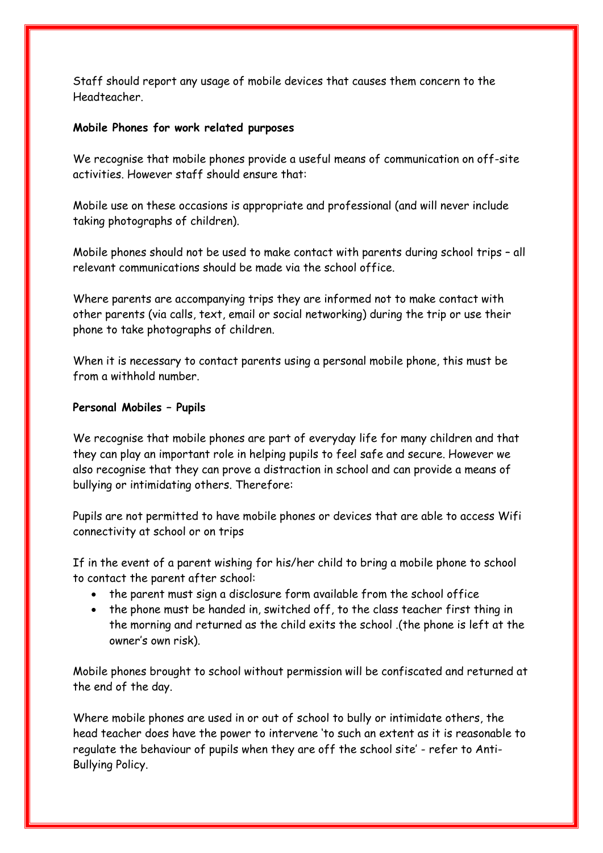Staff should report any usage of mobile devices that causes them concern to the Headteacher.

#### **Mobile Phones for work related purposes**

We recognise that mobile phones provide a useful means of communication on off-site activities. However staff should ensure that:

Mobile use on these occasions is appropriate and professional (and will never include taking photographs of children).

Mobile phones should not be used to make contact with parents during school trips – all relevant communications should be made via the school office.

Where parents are accompanying trips they are informed not to make contact with other parents (via calls, text, email or social networking) during the trip or use their phone to take photographs of children.

When it is necessary to contact parents using a personal mobile phone, this must be from a withhold number.

#### **Personal Mobiles – Pupils**

We recognise that mobile phones are part of everyday life for many children and that they can play an important role in helping pupils to feel safe and secure. However we also recognise that they can prove a distraction in school and can provide a means of bullying or intimidating others. Therefore:

Pupils are not permitted to have mobile phones or devices that are able to access Wifi connectivity at school or on trips

If in the event of a parent wishing for his/her child to bring a mobile phone to school to contact the parent after school:

- the parent must sign a disclosure form available from the school office
- the phone must be handed in, switched off, to the class teacher first thing in the morning and returned as the child exits the school .(the phone is left at the owner's own risk).

Mobile phones brought to school without permission will be confiscated and returned at the end of the day.

Where mobile phones are used in or out of school to bully or intimidate others, the head teacher does have the power to intervene 'to such an extent as it is reasonable to regulate the behaviour of pupils when they are off the school site' - refer to Anti-Bullying Policy.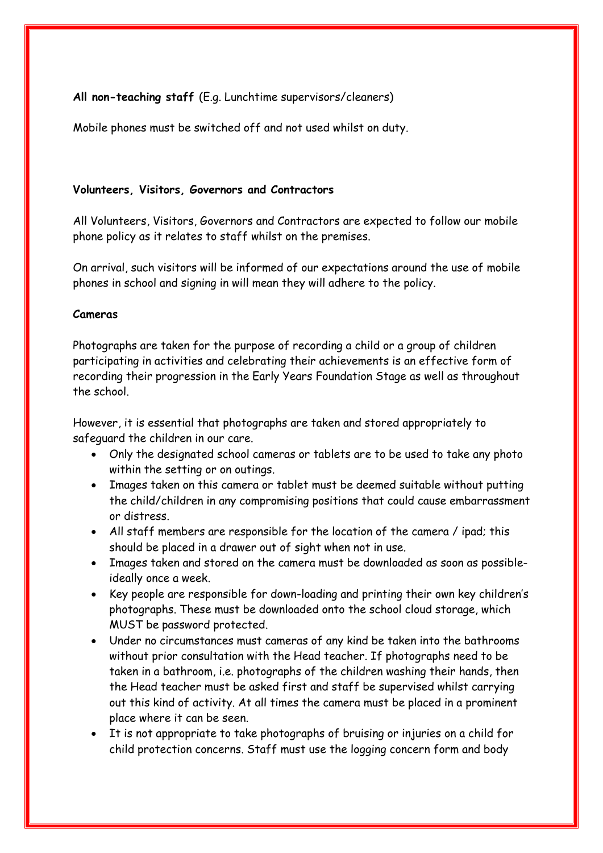**All non-teaching staff** (E.g. Lunchtime supervisors/cleaners)

Mobile phones must be switched off and not used whilst on duty.

#### **Volunteers, Visitors, Governors and Contractors**

All Volunteers, Visitors, Governors and Contractors are expected to follow our mobile phone policy as it relates to staff whilst on the premises.

On arrival, such visitors will be informed of our expectations around the use of mobile phones in school and signing in will mean they will adhere to the policy.

#### **Cameras**

Photographs are taken for the purpose of recording a child or a group of children participating in activities and celebrating their achievements is an effective form of recording their progression in the Early Years Foundation Stage as well as throughout the school.

However, it is essential that photographs are taken and stored appropriately to safeguard the children in our care.

- Only the designated school cameras or tablets are to be used to take any photo within the setting or on outings.
- Images taken on this camera or tablet must be deemed suitable without putting the child/children in any compromising positions that could cause embarrassment or distress.
- All staff members are responsible for the location of the camera / ipad; this should be placed in a drawer out of sight when not in use.
- Images taken and stored on the camera must be downloaded as soon as possibleideally once a week.
- Key people are responsible for down-loading and printing their own key children's photographs. These must be downloaded onto the school cloud storage, which MUST be password protected.
- Under no circumstances must cameras of any kind be taken into the bathrooms without prior consultation with the Head teacher. If photographs need to be taken in a bathroom, i.e. photographs of the children washing their hands, then the Head teacher must be asked first and staff be supervised whilst carrying out this kind of activity. At all times the camera must be placed in a prominent place where it can be seen.
- It is not appropriate to take photographs of bruising or injuries on a child for child protection concerns. Staff must use the logging concern form and body